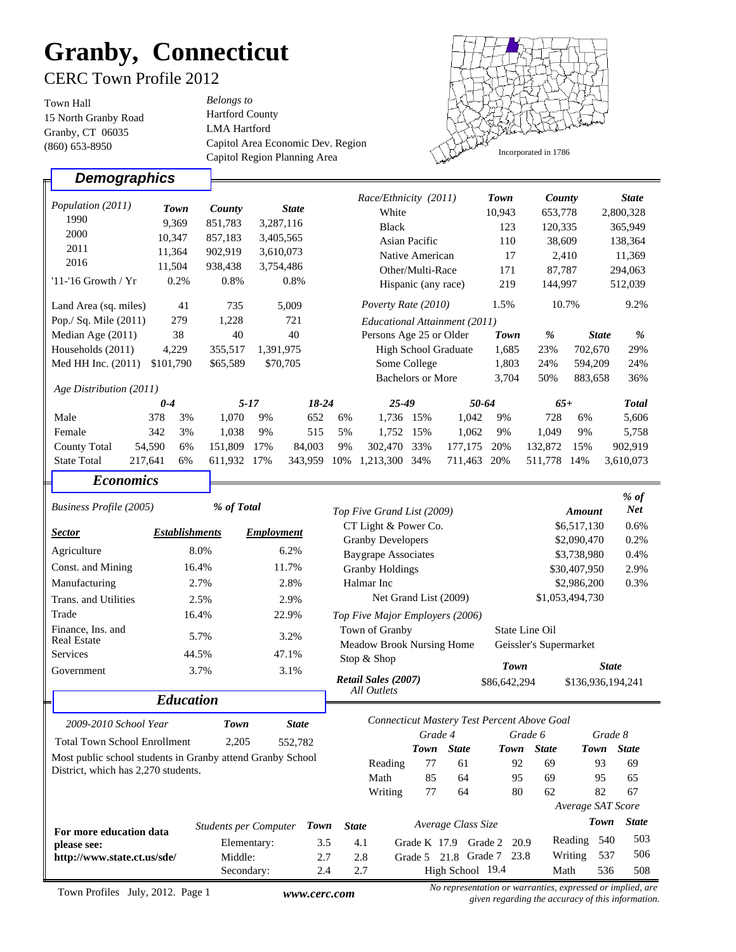# **Granby, Connecticut**

### CERC Town Profile 2012

15 North Granby Road Town Hall (860) 653-8950 Granby, CT 06035

Hartford County LMA Hartford Capitol Area Economic Dev. Region Capitol Region Planning Area *Belongs to*



#### *Demographics*

*Economics* 

|                                  |         |           |           |           |              | Race/Ethnicity (2011) |                               |              | Town    | County  |         | <b>State</b> |                      |
|----------------------------------|---------|-----------|-----------|-----------|--------------|-----------------------|-------------------------------|--------------|---------|---------|---------|--------------|----------------------|
| Population (2011)<br><b>Town</b> |         |           | County    |           | <b>State</b> |                       | White                         |              |         | 10,943  | 653,778 |              | 2,800,328            |
| 1990<br>9.369                    |         | 851,783   | 3,287,116 |           |              | <b>Black</b>          |                               |              | 123     | 120,335 |         | 365,949      |                      |
| 2000<br>10,347                   |         | 857,183   | 3,405,565 |           |              | Asian Pacific         |                               |              | 110     | 38,609  |         | 138,364      |                      |
| 2011<br>11,364                   |         | 902,919   | 3,610,073 |           |              | Native American       |                               |              | 17      | 2,410   |         | 11,369       |                      |
| 2016<br>11,504                   |         | 938,438   | 3,754,486 |           |              | Other/Multi-Race      |                               |              | 171     | 87,787  |         | 294,063      |                      |
| $'11$ -'16 Growth / $Yr$<br>0.2% |         |           | 0.8%      | 0.8%      |              |                       | Hispanic (any race)           |              |         | 219     |         | 144,997      |                      |
| Land Area (sq. miles)            |         | 41        | 735       |           | 5,009        |                       | Poverty Rate (2010)           |              |         | 1.5%    | 10.7%   |              | 9.2%                 |
| Pop./ Sq. Mile (2011)            |         | 279       | 1,228     |           | 721          |                       | Educational Attainment (2011) |              |         |         |         |              |                      |
| Median Age (2011)                |         | 38<br>40  |           | 40        |              |                       | Persons Age 25 or Older       |              |         | Town    | $\%$    |              | $\%$<br><b>State</b> |
| Households (2011)                |         | 4,229     | 355,517   | 1,391,975 |              |                       | High School Graduate          |              |         | 1,685   | 23%     | 702,670      | 29%                  |
| Med HH Inc. $(2011)$             |         | \$101.790 | \$65,589  | \$70,705  |              |                       |                               | Some College |         |         | 24%     | 594,209      | 24%                  |
|                                  |         |           |           |           |              |                       | <b>Bachelors or More</b>      |              |         | 3,704   | 50%     | 883,658      | 36%                  |
| Age Distribution (2011)          |         |           |           |           |              |                       |                               |              |         |         |         |              |                      |
|                                  | $0-4$   |           |           | $5 - 17$  | 18-24        |                       | $25 - 49$                     |              | 50-64   |         | $65+$   |              | <b>Total</b>         |
| Male                             | 378     | 3%        | 1,070     | 9%        | 652          | 6%                    | 1,736                         | 15%          | 1,042   | 9%      | 728     | 6%           | 5,606                |
| Female                           | 342     | 3%        | 1,038     | 9%        | 515          | 5%                    | 1,752                         | 15%          | 1,062   | 9%      | 1,049   | 9%           | 5,758                |
| <b>County Total</b>              | 54,590  | 6%        | 151,809   | 17%       | 84,003       | 9%                    | 302,470                       | 33%          | 177,175 | 20%     | 132,872 | 15%          | 902,919              |
| <b>State Total</b>               | 217,641 | 6%        | 611,932   | 17%       | 343,959      | 10%                   | 1,213,300                     | 34%          | 711,463 | 20%     | 511,778 | 14%          | 3,610,073            |

8.0% 6.2% 16.4% 11.7% 2.7% 2.8% 2.5% 2.9% 16.4% 22.9% 5.7% 3.2% 44.5% 47.1% 3.7% 3.1% Agriculture Const. and Mining Manufacturing Trade Finance, Ins. and Services Government *Sector Establishments % of Total Employment* \$86,642,294 \$136,936,194,241 Town of Granby Meadow Brook Nursing Home Stop & Shop State Line Oil Geissler's Supermarket CT Light  $&$  Power Co.  $\$6,517,130$ Granby Developers \$2,090,470 Baygrape Associates  $$3,738,980$ Granby Holdings  $$30,407,950$ Halmar Inc \$2,986,200 Trans. and Utilities Real Estate *Town State Amount % of Net* \$1,053,494,730 0.6% 0.2% 0.4% 2.9% 0.3% *Business Profile (2005) Top Five Grand List (2009)* Net Grand List (2009) *Top Five Major Employers (2006) Retail Sales (2007) Education*  2,205 Grade K 17.9 Grade 2 20.9 Grade 5 21.8 Grade 7 23.8 High School 19.4 Total Town School Enrollment *Average Class Size Town* 540 Reading 536 77 61 92 69 93 69 85 64 95 69 95 65 77 64 80 62 82 67 *Average SAT Score* Math *Connecticut Mastery Test Percent Above Goal* Math Writing *Grade 4 Grade 6 Grade 8 Town State Town State Town State* Elementary: 3.5 Middle: 2.7 Secondary: 2.4 *2009-2010 School Year* Most public school students in Granby attend Granby School District, which has 2,270 students. **For more education data please see: http://www.state.ct.us/sde/**  *State* 4.1 2.8 2.7 *Town State* 503 508 552,782 *Students per Computer Town State* Reading *All Outlets* Writing 537 506

Town Profiles July, 2012. Page 1

 *www.cerc.com* 

*No representation or warranties, expressed or implied, are given regarding the accuracy of this information.*